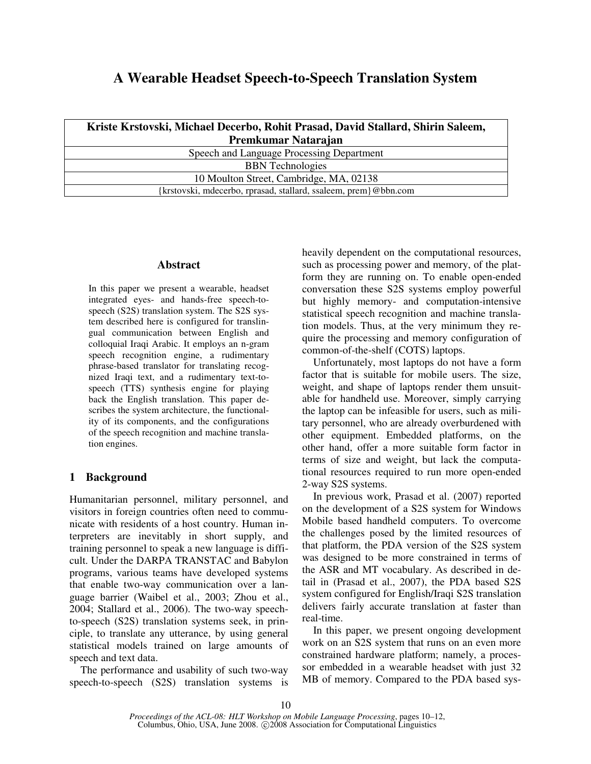# **A Wearable Headset Speech-to-Speech Translation System**

| Kriste Krstovski, Michael Decerbo, Rohit Prasad, David Stallard, Shirin Saleem, |
|---------------------------------------------------------------------------------|
| Premkumar Natarajan                                                             |
| Speech and Language Processing Department                                       |
| <b>BBN</b> Technologies                                                         |
| 10 Moulton Street, Cambridge, MA, 02138                                         |
| {krstovski, mdecerbo, rprasad, stallard, ssaleem, prem}@bbn.com                 |

### **Abstract**

In this paper we present a wearable, headset integrated eyes- and hands-free speech-tospeech (S2S) translation system. The S2S system described here is configured for translingual communication between English and colloquial Iraqi Arabic. It employs an n-gram speech recognition engine, a rudimentary phrase-based translator for translating recognized Iraqi text, and a rudimentary text-tospeech (TTS) synthesis engine for playing back the English translation. This paper describes the system architecture, the functionality of its components, and the configurations of the speech recognition and machine translation engines.

## **1 Background**

Humanitarian personnel, military personnel, and visitors in foreign countries often need to communicate with residents of a host country. Human interpreters are inevitably in short supply, and training personnel to speak a new language is difficult. Under the DARPA TRANSTAC and Babylon programs, various teams have developed systems that enable two-way communication over a language barrier (Waibel et al., 2003; Zhou et al., 2004; Stallard et al., 2006). The two-way speechto-speech (S2S) translation systems seek, in principle, to translate any utterance, by using general statistical models trained on large amounts of speech and text data.

The performance and usability of such two-way speech-to-speech (S2S) translation systems is heavily dependent on the computational resources, such as processing power and memory, of the platform they are running on. To enable open-ended conversation these S2S systems employ powerful but highly memory- and computation-intensive statistical speech recognition and machine translation models. Thus, at the very minimum they require the processing and memory configuration of common-of-the-shelf (COTS) laptops.

Unfortunately, most laptops do not have a form factor that is suitable for mobile users. The size, weight, and shape of laptops render them unsuitable for handheld use. Moreover, simply carrying the laptop can be infeasible for users, such as military personnel, who are already overburdened with other equipment. Embedded platforms, on the other hand, offer a more suitable form factor in terms of size and weight, but lack the computational resources required to run more open-ended 2-way S2S systems.

In previous work, Prasad et al. (2007) reported on the development of a S2S system for Windows Mobile based handheld computers. To overcome the challenges posed by the limited resources of that platform, the PDA version of the S2S system was designed to be more constrained in terms of the ASR and MT vocabulary. As described in detail in (Prasad et al., 2007), the PDA based S2S system configured for English/Iraqi S2S translation delivers fairly accurate translation at faster than real-time.

In this paper, we present ongoing development work on an S2S system that runs on an even more constrained hardware platform; namely, a processor embedded in a wearable headset with just 32 MB of memory. Compared to the PDA based sys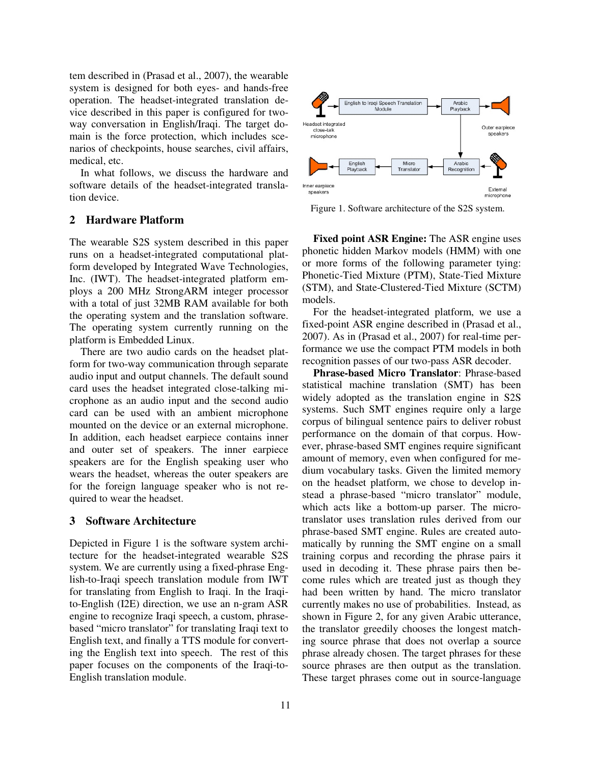tem described in (Prasad et al., 2007), the wearable system is designed for both eyes- and hands-free operation. The headset-integrated translation device described in this paper is configured for twoway conversation in English/Iraqi. The target domain is the force protection, which includes scenarios of checkpoints, house searches, civil affairs, medical, etc.

In what follows, we discuss the hardware and software details of the headset-integrated translation device.

#### **2 Hardware Platform**

The wearable S2S system described in this paper runs on a headset-integrated computational platform developed by Integrated Wave Technologies, Inc. (IWT). The headset-integrated platform employs a 200 MHz StrongARM integer processor with a total of just 32MB RAM available for both the operating system and the translation software. The operating system currently running on the platform is Embedded Linux.

There are two audio cards on the headset platform for two-way communication through separate audio input and output channels. The default sound card uses the headset integrated close-talking microphone as an audio input and the second audio card can be used with an ambient microphone mounted on the device or an external microphone. In addition, each headset earpiece contains inner and outer set of speakers. The inner earpiece speakers are for the English speaking user who wears the headset, whereas the outer speakers are for the foreign language speaker who is not required to wear the headset.

#### **3 Software Architecture**

Depicted in Figure 1 is the software system architecture for the headset-integrated wearable S2S system. We are currently using a fixed-phrase English-to-Iraqi speech translation module from IWT for translating from English to Iraqi. In the Iraqito-English (I2E) direction, we use an n-gram ASR engine to recognize Iraqi speech, a custom, phrasebased "micro translator" for translating Iraqi text to English text, and finally a TTS module for converting the English text into speech. The rest of this paper focuses on the components of the Iraqi-to-English translation module.



Figure 1. Software architecture of the S2S system.

**Fixed point ASR Engine:** The ASR engine uses phonetic hidden Markov models (HMM) with one or more forms of the following parameter tying: Phonetic-Tied Mixture (PTM), State-Tied Mixture (STM), and State-Clustered-Tied Mixture (SCTM) models.

For the headset-integrated platform, we use a fixed-point ASR engine described in (Prasad et al., 2007). As in (Prasad et al., 2007) for real-time performance we use the compact PTM models in both recognition passes of our two-pass ASR decoder.

**Phrase-based Micro Translator**: Phrase-based statistical machine translation (SMT) has been widely adopted as the translation engine in S2S systems. Such SMT engines require only a large corpus of bilingual sentence pairs to deliver robust performance on the domain of that corpus. However, phrase-based SMT engines require significant amount of memory, even when configured for medium vocabulary tasks. Given the limited memory on the headset platform, we chose to develop instead a phrase-based "micro translator" module, which acts like a bottom-up parser. The microtranslator uses translation rules derived from our phrase-based SMT engine. Rules are created automatically by running the SMT engine on a small training corpus and recording the phrase pairs it used in decoding it. These phrase pairs then become rules which are treated just as though they had been written by hand. The micro translator currently makes no use of probabilities. Instead, as shown in Figure 2, for any given Arabic utterance, the translator greedily chooses the longest matching source phrase that does not overlap a source phrase already chosen. The target phrases for these source phrases are then output as the translation. These target phrases come out in source-language